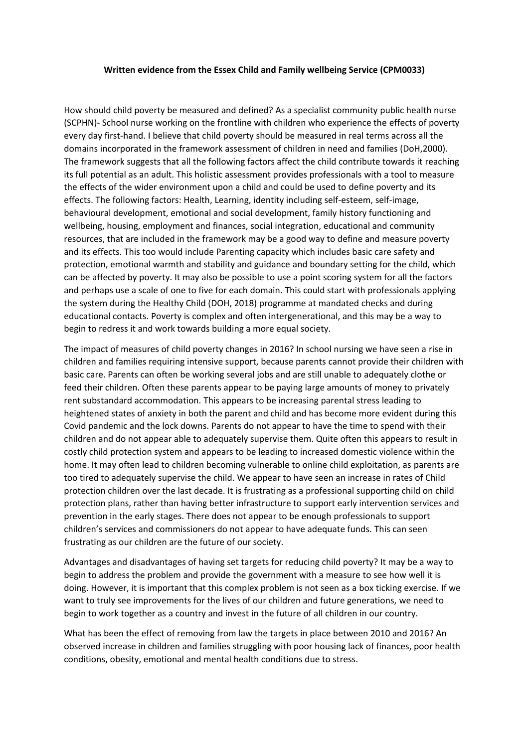## **Written evidence from the Essex Child and Family wellbeing Service (CPM0033)**

How should child poverty be measured and defined? As a specialist community public health nurse (SCPHN)- School nurse working on the frontline with children who experience the effects of poverty every day first-hand. I believe that child poverty should be measured in real terms across all the domains incorporated in the framework assessment of children in need and families (DoH,2000). The framework suggests that all the following factors affect the child contribute towards it reaching its full potential as an adult. This holistic assessment provides professionals with a tool to measure the effects of the wider environment upon a child and could be used to define poverty and its effects. The following factors: Health, Learning, identity including self-esteem, self-image, behavioural development, emotional and social development, family history functioning and wellbeing, housing, employment and finances, social integration, educational and community resources, that are included in the framework may be a good way to define and measure poverty and its effects. This too would include Parenting capacity which includes basic care safety and protection, emotional warmth and stability and guidance and boundary setting for the child, which can be affected by poverty. It may also be possible to use a point scoring system for all the factors and perhaps use a scale of one to five for each domain. This could start with professionals applying the system during the Healthy Child (DOH, 2018) programme at mandated checks and during educational contacts. Poverty is complex and often intergenerational, and this may be a way to begin to redress it and work towards building a more equal society.

The impact of measures of child poverty changes in 2016? In school nursing we have seen a rise in children and families requiring intensive support, because parents cannot provide their children with basic care. Parents can often be working several jobs and are still unable to adequately clothe or feed their children. Often these parents appear to be paying large amounts of money to privately rent substandard accommodation. This appears to be increasing parental stress leading to heightened states of anxiety in both the parent and child and has become more evident during this Covid pandemic and the lock downs. Parents do not appear to have the time to spend with their children and do not appear able to adequately supervise them. Quite often this appears to result in costly child protection system and appears to be leading to increased domestic violence within the home. It may often lead to children becoming vulnerable to online child exploitation, as parents are too tired to adequately supervise the child. We appear to have seen an increase in rates of Child protection children over the last decade. It is frustrating as a professional supporting child on child protection plans, rather than having better infrastructure to support early intervention services and prevention in the early stages. There does not appear to be enough professionals to support children's services and commissioners do not appear to have adequate funds. This can seen frustrating as our children are the future of our society.

Advantages and disadvantages of having set targets for reducing child poverty? It may be a way to begin to address the problem and provide the government with a measure to see how well it is doing. However, it is important that this complex problem is not seen as a box ticking exercise. If we want to truly see improvements for the lives of our children and future generations, we need to begin to work together as a country and invest in the future of all children in our country.

What has been the effect of removing from law the targets in place between 2010 and 2016? An observed increase in children and families struggling with poor housing lack of finances, poor health conditions, obesity, emotional and mental health conditions due to stress.